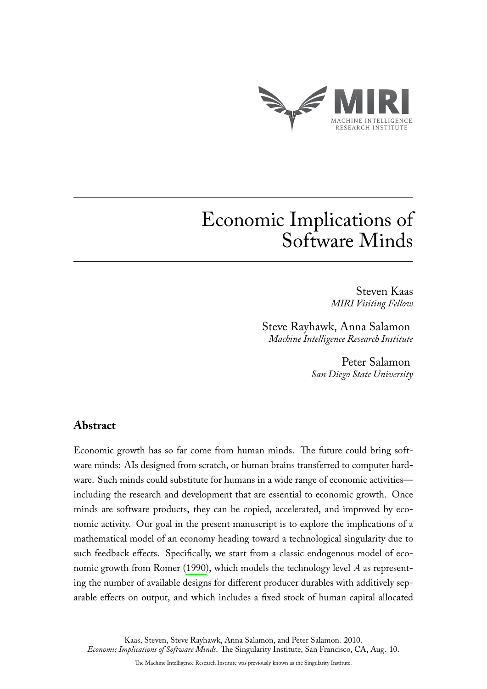

# Economic Implications of Software Minds

Steven Kaas *MIRI Visiting Fellow*

Steve Rayhawk, Anna Salamon *Machine Intelligence Research Institute*

> Peter Salamon *San Diego State University*

## **Abstract**

Economic growth has so far come from human minds. The future could bring software minds: AIs designed from scratch, or human brains transferred to computer hardware. Such minds could substitute for humans in a wide range of economic activities including the research and development that are essential to economic growth. Once minds are software products, they can be copied, accelerated, and improved by economic activity. Our goal in the present manuscript is to explore the implications of a mathematical model of an economy heading toward a technological singularity due to such feedback effects. Specifically, we start from a classic endogenous model of economic growth from Romer [\(1990\)](#page-7-0), which models the technology level A as representing the number of available designs for different producer durables with additively separable effects on output, and which includes a fixed stock of human capital allocated

Kaas, Steven, Steve Rayhawk, Anna Salamon, and Peter Salamon. 2010. *Economic Implications of Software Minds*. The Singularity Institute, San Francisco, CA, Aug. 10.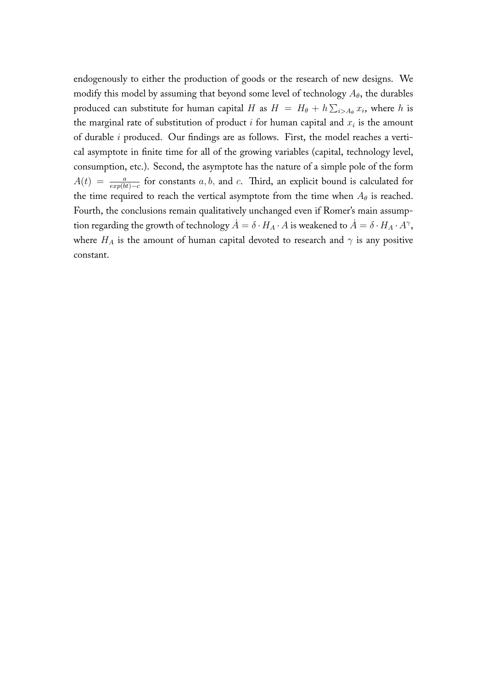endogenously to either the production of goods or the research of new designs. We modify this model by assuming that beyond some level of technology  $A_{\theta}$ , the durables produced can substitute for human capital H as  $H = H_{\theta} + h \sum_{i \geq A_{\theta}} x_i$ , where h is the marginal rate of substitution of product i for human capital and  $x_i$  is the amount of durable i produced. Our findings are as follows. First, the model reaches a vertical asymptote in finite time for all of the growing variables (capital, technology level, consumption, etc.). Second, the asymptote has the nature of a simple pole of the form  $A(t) = \frac{a}{exp(bt)-c}$  for constants a, b, and c. Third, an explicit bound is calculated for the time required to reach the vertical asymptote from the time when  $A_{\theta}$  is reached. Fourth, the conclusions remain qualitatively unchanged even if Romer's main assumption regarding the growth of technology  $\dot{A}=\delta\cdot H_A\cdot A$  is weakened to  $\dot{A}=\delta\cdot H_A\cdot A^{\gamma},$ where  $H_A$  is the amount of human capital devoted to research and  $\gamma$  is any positive constant.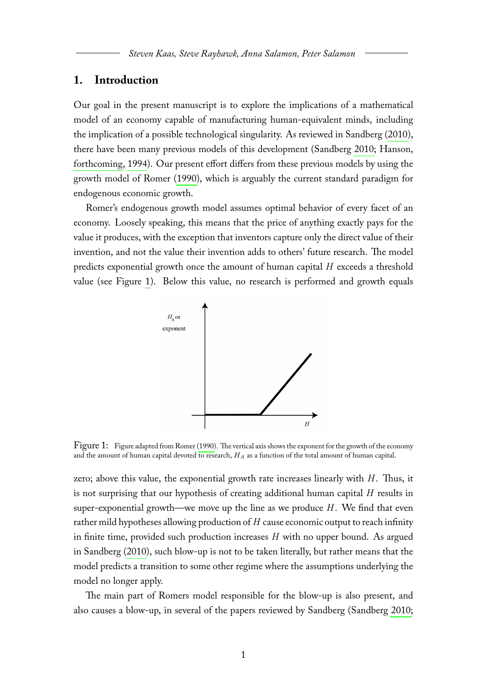#### **1. Introduction**

Our goal in the present manuscript is to explore the implications of a mathematical model of an economy capable of manufacturing human-equivalent minds, including the implication of a possible technological singularity. As reviewed in Sandberg [\(2010\)](#page-7-1), there have been many previous models of this development (Sandberg [2010;](#page-7-1) Hanson, [forthcoming,](#page-7-2) [1994\)](#page-7-3). Our present effort differs from these previous models by using the growth model of Romer [\(1990\)](#page-7-0), which is arguably the current standard paradigm for endogenous economic growth.

Romer's endogenous growth model assumes optimal behavior of every facet of an economy. Loosely speaking, this means that the price of anything exactly pays for the value it produces, with the exception that inventors capture only the direct value of their invention, and not the value their invention adds to others' future research. The model predicts exponential growth once the amount of human capital H exceeds a threshold value (see Figure [1\)](#page-2-0). Below this value, no research is performed and growth equals

<span id="page-2-0"></span>

Figure 1: Figure adapted from Romer [\(1990\)](#page-7-0). The vertical axis shows the exponent for the growth of the economy and the amount of human capital devoted to research,  $H_A$  as a function of the total amount of human capital.

zero; above this value, the exponential growth rate increases linearly with  $H$ . Thus, it is not surprising that our hypothesis of creating additional human capital H results in super-exponential growth—we move up the line as we produce  $H$ . We find that even rather mild hypotheses allowing production of  $H$  cause economic output to reach infinity in finite time, provided such production increases  $H$  with no upper bound. As argued in Sandberg [\(2010\)](#page-7-1), such blow-up is not to be taken literally, but rather means that the model predicts a transition to some other regime where the assumptions underlying the model no longer apply.

The main part of Romers model responsible for the blow-up is also present, and also causes a blow-up, in several of the papers reviewed by Sandberg (Sandberg [2010;](#page-7-1)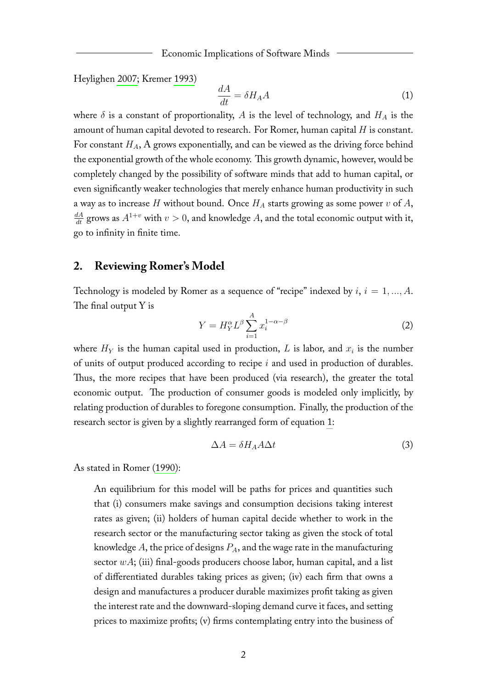Heylighen [2007;](#page-7-4) Kremer [1993\)](#page-7-5)

<span id="page-3-0"></span>
$$
\frac{dA}{dt} = \delta H_A A \tag{1}
$$

where  $\delta$  is a constant of proportionality, A is the level of technology, and  $H_A$  is the amount of human capital devoted to research. For Romer, human capital  $H$  is constant. For constant  $H_A$ , A grows exponentially, and can be viewed as the driving force behind the exponential growth of the whole economy. This growth dynamic, however, would be completely changed by the possibility of software minds that add to human capital, or even significantly weaker technologies that merely enhance human productivity in such a way as to increase H without bound. Once  $H_A$  starts growing as some power v of A,  $\frac{dA}{dt}$  grows as  $A^{1+v}$  with  $v > 0$ , and knowledge A, and the total economic output with it, go to infinity in finite time.

### **2. Reviewing Romer's Model**

Technology is modeled by Romer as a sequence of "recipe" indexed by  $i, i = 1, ..., A$ . The final output Y is

$$
Y = H_Y^{\alpha} L^{\beta} \sum_{i=1}^A x_i^{1-\alpha-\beta} \tag{2}
$$

where  $H_Y$  is the human capital used in production, L is labor, and  $x_i$  is the number of units of output produced according to recipe i and used in production of durables. Thus, the more recipes that have been produced (via research), the greater the total economic output. The production of consumer goods is modeled only implicitly, by relating production of durables to foregone consumption. Finally, the production of the research sector is given by a slightly rearranged form of equation [1:](#page-3-0)

$$
\Delta A = \delta H_A A \Delta t \tag{3}
$$

As stated in Romer [\(1990\)](#page-7-0):

An equilibrium for this model will be paths for prices and quantities such that (i) consumers make savings and consumption decisions taking interest rates as given; (ii) holders of human capital decide whether to work in the research sector or the manufacturing sector taking as given the stock of total knowledge  $A$ , the price of designs  $P_A$ , and the wage rate in the manufacturing sector  $wA$ ; (iii) final-goods producers choose labor, human capital, and a list of differentiated durables taking prices as given; (iv) each firm that owns a design and manufactures a producer durable maximizes profit taking as given the interest rate and the downward-sloping demand curve it faces, and setting prices to maximize profits; (v) firms contemplating entry into the business of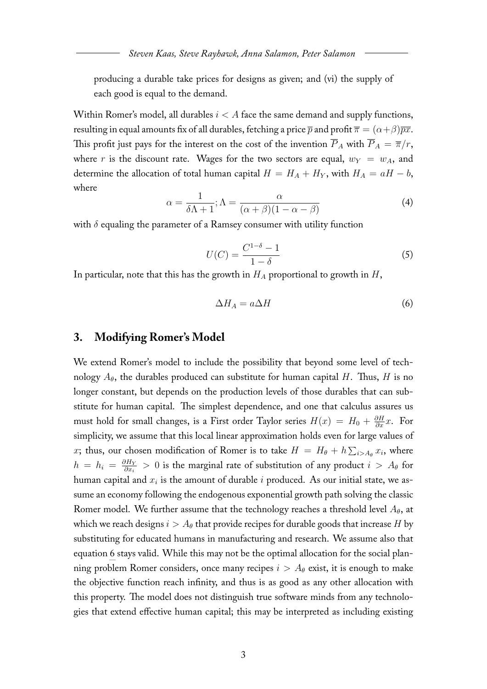producing a durable take prices for designs as given; and (vi) the supply of each good is equal to the demand.

Within Romer's model, all durables  $i < A$  face the same demand and supply functions, resulting in equal amounts fix of all durables, fetching a price  $\bar{p}$  and profit  $\bar{\pi} = (\alpha + \beta)\bar{p}\bar{x}$ . This profit just pays for the interest on the cost of the invention  $\overline{P}_{A}$  with  $\overline{P}_{A} = \overline{\pi}/r$ , where r is the discount rate. Wages for the two sectors are equal,  $w_Y = w_A$ , and determine the allocation of total human capital  $H = H_A + H_Y$ , with  $H_A = aH - b$ , where

$$
\alpha = \frac{1}{\delta \Lambda + 1}; \Lambda = \frac{\alpha}{(\alpha + \beta)(1 - \alpha - \beta)}
$$
(4)

with  $\delta$  equaling the parameter of a Ramsey consumer with utility function

$$
U(C) = \frac{C^{1-\delta} - 1}{1 - \delta} \tag{5}
$$

In particular, note that this has the growth in  $H_A$  proportional to growth in  $H$ ,

<span id="page-4-0"></span>
$$
\Delta H_A = a \Delta H \tag{6}
$$

#### **3. Modifying Romer's Model**

We extend Romer's model to include the possibility that beyond some level of technology  $A_{\theta}$ , the durables produced can substitute for human capital H. Thus, H is no longer constant, but depends on the production levels of those durables that can substitute for human capital. The simplest dependence, and one that calculus assures us must hold for small changes, is a First order Taylor series  $H(x) = H_0 + \frac{\partial H}{\partial x}x$ . For simplicity, we assume that this local linear approximation holds even for large values of x; thus, our chosen modification of Romer is to take  $H = H_{\theta} + h \sum_{i > A_{\theta}} x_i$ , where  $h = h_i = \frac{\partial H_Y}{\partial x_i}$  $\frac{\partial H_Y}{\partial x_i} > 0$  is the marginal rate of substitution of any product  $i > A_\theta$  for human capital and  $x_i$  is the amount of durable  $i$  produced. As our initial state, we assume an economy following the endogenous exponential growth path solving the classic Romer model. We further assume that the technology reaches a threshold level  $A_{\theta}$ , at which we reach designs  $i > A_{\theta}$  that provide recipes for durable goods that increase H by substituting for educated humans in manufacturing and research. We assume also that equation [6](#page-4-0) stays valid. While this may not be the optimal allocation for the social planning problem Romer considers, once many recipes  $i > A_{\theta}$  exist, it is enough to make the objective function reach infinity, and thus is as good as any other allocation with this property. The model does not distinguish true software minds from any technologies that extend effective human capital; this may be interpreted as including existing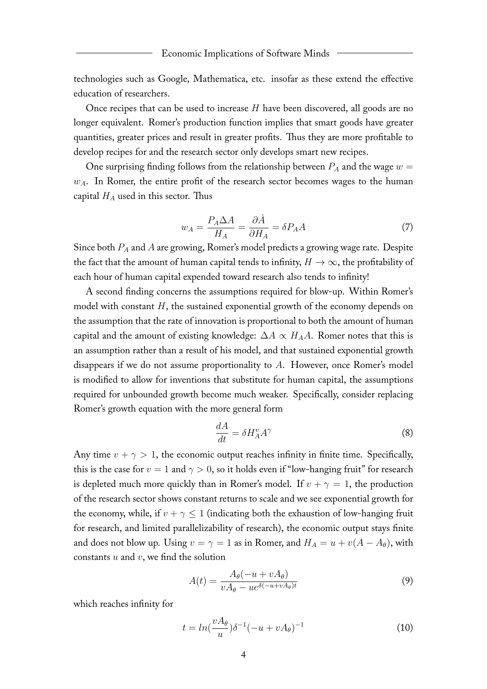technologies such as Google, Mathematica, etc. insofar as these extend the effective education of researchers.

Once recipes that can be used to increase  $H$  have been discovered, all goods are no longer equivalent. Romer's production function implies that smart goods have greater quantities, greater prices and result in greater profits. Thus they are more profitable to develop recipes for and the research sector only develops smart new recipes.

One surprising finding follows from the relationship between  $P_A$  and the wage  $w =$  $w_A$ . In Romer, the entire profit of the research sector becomes wages to the human capital  $H_A$  used in this sector. Thus

$$
w_A = \frac{P_A \Delta A}{H_A} = \frac{\partial \dot{A}}{\partial H_A} = \delta P_A A \tag{7}
$$

Since both  $P_A$  and  $A$  are growing, Romer's model predicts a growing wage rate. Despite the fact that the amount of human capital tends to infinity,  $H \to \infty$ , the profitability of each hour of human capital expended toward research also tends to infinity!

A second finding concerns the assumptions required for blow-up. Within Romer's model with constant  $H$ , the sustained exponential growth of the economy depends on the assumption that the rate of innovation is proportional to both the amount of human capital and the amount of existing knowledge:  $\Delta A \propto H_A A$ . Romer notes that this is an assumption rather than a result of his model, and that sustained exponential growth disappears if we do not assume proportionality to A. However, once Romer's model is modified to allow for inventions that substitute for human capital, the assumptions required for unbounded growth become much weaker. Specifically, consider replacing Romer's growth equation with the more general form

$$
\frac{dA}{dt} = \delta H_A^v A^\gamma \tag{8}
$$

Any time  $v + \gamma > 1$ , the economic output reaches infinity in finite time. Specifically, this is the case for  $v = 1$  and  $\gamma > 0$ , so it holds even if "low-hanging fruit" for research is depleted much more quickly than in Romer's model. If  $v + \gamma = 1$ , the production of the research sector shows constant returns to scale and we see exponential growth for the economy, while, if  $v + \gamma \leq 1$  (indicating both the exhaustion of low-hanging fruit for research, and limited parallelizability of research), the economic output stays finite and does not blow up. Using  $v = \gamma = 1$  as in Romer, and  $H_A = u + v(A - A_\theta)$ , with constants  $u$  and  $v$ , we find the solution

$$
A(t) = \frac{A_{\theta}(-u + vA_{\theta})}{vA_{\theta} - ue^{\delta(-u + vA_{\theta})t}}
$$
(9)

which reaches infinity for

<span id="page-5-0"></span>
$$
t = \ln\left(\frac{vA_{\theta}}{u}\right)\delta^{-1}\left(-u + vA_{\theta}\right)^{-1} \tag{10}
$$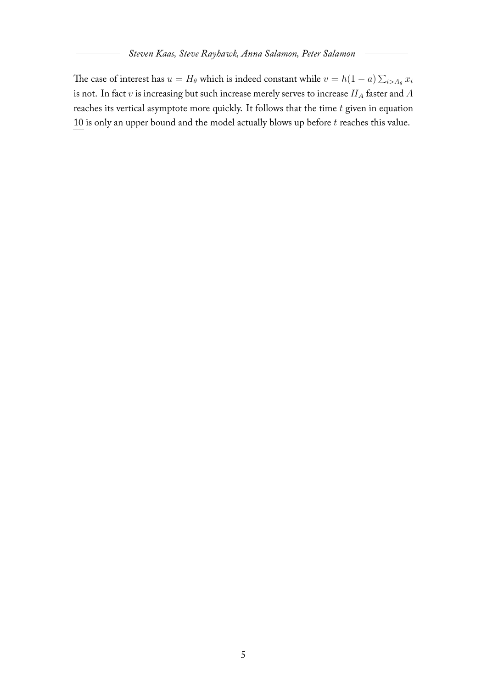The case of interest has  $u = H_\theta$  which is indeed constant while  $v = h(1-a) \sum_{i > A_\theta} x_i$ is not. In fact  $v$  is increasing but such increase merely serves to increase  $H_A$  faster and  $A$ reaches its vertical asymptote more quickly. It follows that the time  $t$  given in equation [10](#page-5-0) is only an upper bound and the model actually blows up before  $t$  reaches this value.